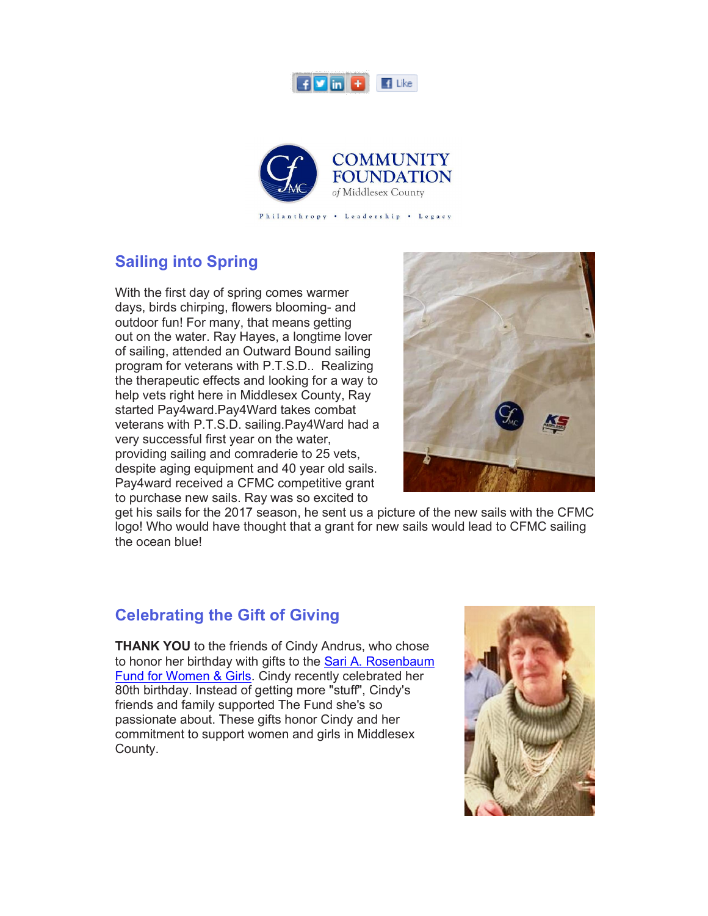



Philanthropy . Leadership . Legacy

## **Sailing into Spring**

With the first day of spring comes warmer days, birds chirping, flowers blooming- and outdoor fun! For many, that means getting out on the water. Ray Hayes, a longtime lover of sailing, attended an Outward Bound sailing program for veterans with P.T.S.D.. Realizing the therapeutic effects and looking for a way to help vets right here in Middlesex County, Ray started Pay4ward.Pay4Ward takes combat veterans with P.T.S.D. sailing.Pay4Ward had a very successful first year on the water, providing sailing and comraderie to 25 vets, despite aging equipment and 40 year old sails. Pay4ward received a CFMC competitive grant to purchase new sails. Ray was so excited to



get his sails for the 2017 season, he sent us a picture of the new sails with the CFMC logo! Who would have thought that a grant for new sails would lead to CFMC sailing the ocean blue!

## **Celebrating the Gift of Giving**

**THANK YOU** to the friends of Cindy Andrus, who chose to honor her birthday with gifts to the Sari A. Rosenbaum Fund for Women & Girls. Cindy recently celebrated her 80th birthday. Instead of getting more "stuff", Cindy's friends and family supported The Fund she's so passionate about. These gifts honor Cindy and her commitment to support women and girls in Middlesex County.